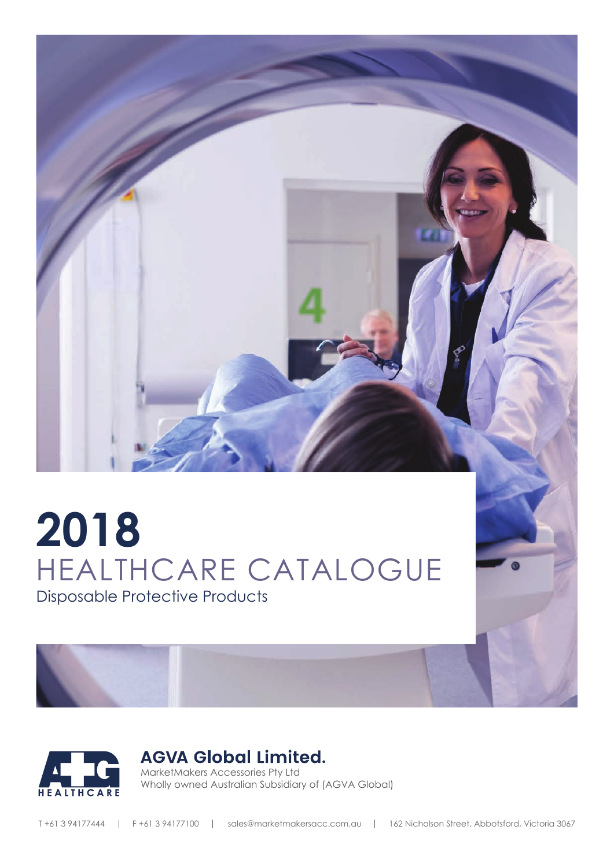

# **2018** HEALTHCARE CATALOGUE Disposable Protective Products



# **AGVA Global Limited.**

MarketMakers Accessories Pty Ltd Wholly owned Australian Subsidiary of (AGVA Global)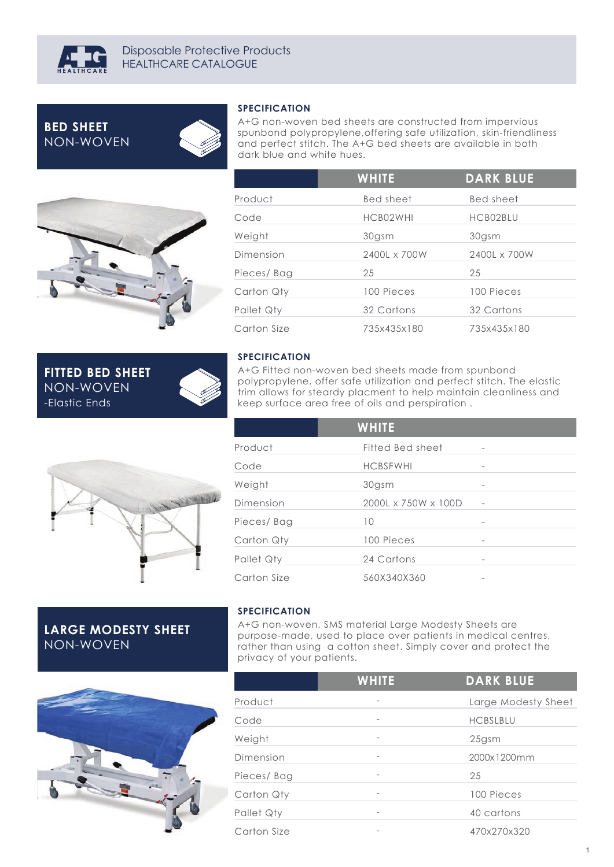

# **BED SHEET** NON-WOVEN

-Elastic Ends

**FITTED BED SHEET** NON-WOVEN



#### **SPECIFICATION**

A+G non-woven bed sheets are constructed from impervious spunbond polypropylene,offering safe utilization, skin-friendliness and perfect stitch. The A+G bed sheets are available in both dark blue and white hues.

|             | <b>WHITE</b> | <b>DARK BLUE</b> |  |
|-------------|--------------|------------------|--|
| Product     | Bed sheet    | Bed sheet        |  |
| Code        | HCB02WHI     | HCB02BLU         |  |
| Weight      | 30gsm        | 30gsm            |  |
| Dimension   | 2400L x 700W | 2400L x 700W     |  |
| Pieces/Bag  | 25           | 25               |  |
| Carton Qty  | 100 Pieces   | 100 Pieces       |  |
| Pallet Qty  | 32 Cartons   | 32 Cartons       |  |
| Carton Size | 735x435x180  | 735x435x180      |  |



A+G Fitted non-woven bed sheets made from spunbond polypropylene, offer safe utilization and perfect stitch. The elastic trim allows for steardy placment to help maintain cleanliness and keep surface area free of oils and perspiration .

|             | <b>WHITE</b>        |                 |  |
|-------------|---------------------|-----------------|--|
| Product     | Fitted Bed sheet    | $\qquad \qquad$ |  |
| Code        | <b>HCBSFWHI</b>     |                 |  |
| Weight      | 30gsm               |                 |  |
| Dimension   | 2000L x 750W x 100D |                 |  |
| Pieces/Bag  | 10                  |                 |  |
| Carton Qty  | 100 Pieces          | -               |  |
| Pallet Qty  | 24 Cartons          |                 |  |
| Carton Size | 560X340X360         |                 |  |

# **LARGE MODESTY SHEET** NON-WOVEN

#### **SPECIFICATION**

A+G non-woven, SMS material Large Modesty Sheets are purpose-made, used to place over patients in medical centres, rather than using a cotton sheet. Simply cover and protect the privacy of your patients.



|             | <b>WHITE</b>                 | <b>DARK BLUE</b>    |
|-------------|------------------------------|---------------------|
| Product     |                              | Large Modesty Sheet |
| Code        | $\overline{\phantom{a}}$     | <b>HCBSLBLU</b>     |
| Weight      | $\qquad \qquad \blacksquare$ | $25$ gsm            |
| Dimension   | $\overline{\phantom{a}}$     | 2000x1200mm         |
| Pieces/Bag  | $\overline{\phantom{a}}$     | 25                  |
| Carton Qty  | $\overline{\phantom{0}}$     | 100 Pieces          |
| Pallet Qty  |                              | 40 cartons          |
| Carton Size |                              | 470x270x320         |
|             |                              |                     |

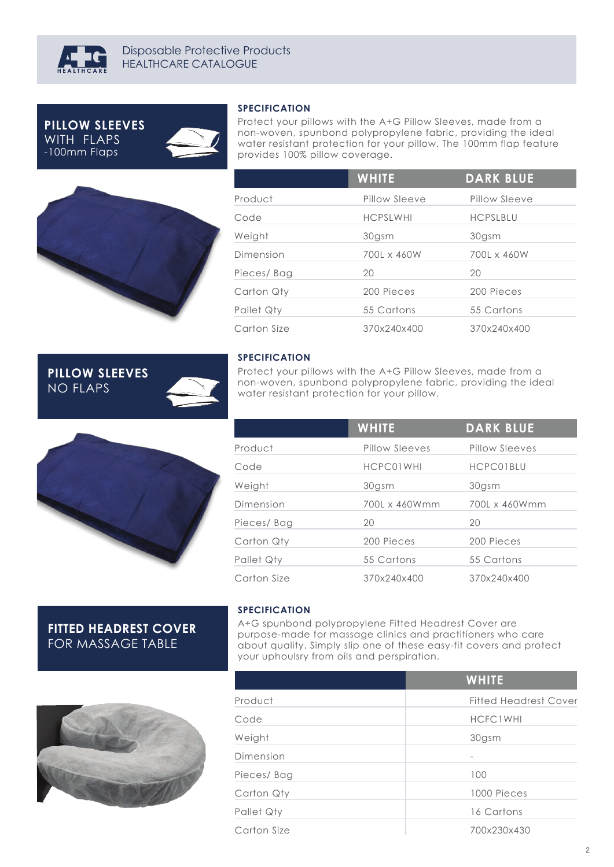

-100mm Flaps **PILLOW SLEEVES** WITH FLAPS

**PILLOW SLEEVES**

NO FLAPS





#### **SPECIFICATION**

Protect your pillows with the A+G Pillow Sleeves, made from a non-woven, spunbond polypropylene fabric, providing the ideal water resistant protection for your pillow. The 100mm flap feature provides 100% pillow coverage.

|             | <b>WHITE</b>    | <b>DARK BLUE</b> |  |
|-------------|-----------------|------------------|--|
| Product     | Pillow Sleeve   | Pillow Sleeve    |  |
| Code        | <b>HCPSLWHI</b> | <b>HCPSLBLU</b>  |  |
| Weight      | 30gsm           | 30gsm            |  |
| Dimension   | 700L x 460W     | 700L x 460W      |  |
| Pieces/Bag  | 20              | 20               |  |
| Carton Qty  | 200 Pieces      | 200 Pieces       |  |
| Pallet Qty  | 55 Cartons      | 55 Cartons       |  |
| Carton Size | 370x240x400     | 370x240x400      |  |

#### **SPECIFICATION**

Protect your pillows with the A+G Pillow Sleeves, made from a non-woven, spunbond polypropylene fabric, providing the ideal water resistant protection for your pillow.

|             | <b>WHITE</b>   | <b>DARK BLUE</b> |
|-------------|----------------|------------------|
| Product     | Pillow Sleeves | Pillow Sleeves   |
| Code        | HCPC01WHI      | HCPC01BLU        |
| Weight      | 30gsm          | 30gsm            |
| Dimension   | 700L x 460Wmm  | 700L x 460Wmm    |
| Pieces/Bag  | 20             | 20               |
| Carton Qty  | 200 Pieces     | 200 Pieces       |
| Pallet Qty  | 55 Cartons     | 55 Cartons       |
| Carton Size | 370x240x400    | 370x240x400      |

#### **FITTED HEADREST COVER** FOR MASSAGE TABLE

#### **SPECIFICATION**

A+G spunbond polypropylene Fitted Headrest Cover are purpose-made for massage clinics and practitioners who care about quality. Simply slip one of these easy-fit covers and protect your uphoulsry from oils and perspiration.



|             | <b>WHITE</b>                 |
|-------------|------------------------------|
| Product     | <b>Fitted Headrest Cover</b> |
| Code        | <b>HCFC1WHI</b>              |
| Weight      | 30gsm                        |
| Dimension   |                              |
| Pieces/Bag  | 100                          |
| Carton Qty  | 1000 Pieces                  |
| Pallet Qty  | 16 Cartons                   |
| Carton Size | 700x230x430                  |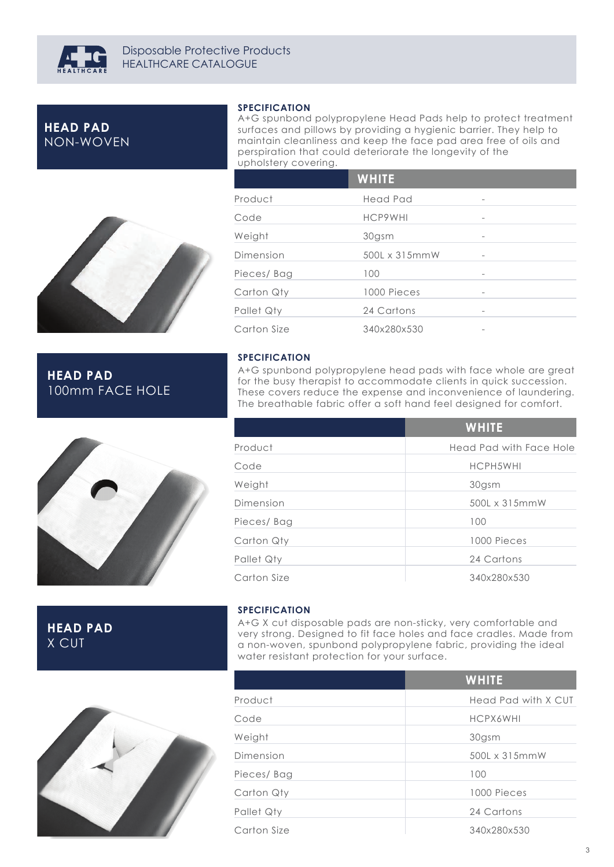

# **HEAD PAD** NON-WOVEN

#### **SPECIFICATION**

A+G spunbond polypropylene Head Pads help to protect treatment surfaces and pillows by providing a hygienic barrier. They help to maintain cleanliness and keep the face pad area free of oils and perspiration that could deteriorate the longevity of the upholstery covering.

|             | <b>WHITE</b>  |                          |
|-------------|---------------|--------------------------|
| Product     | Head Pad      | $\overline{\phantom{a}}$ |
| Code        | HCP9WHI       |                          |
| Weight      | 30gsm         | $\overline{\phantom{a}}$ |
| Dimension   | 500L x 315mmW |                          |
| Pieces/Bag  | 100           |                          |
| Carton Qty  | 1000 Pieces   |                          |
| Pallet Qty  | 24 Cartons    |                          |
| Carton Size | 340x280x530   |                          |



# **HEAD PAD** 100mm FACE HOLE



**HEAD PAD** X CUT

**SPECIFICATION**

A+G X cut disposable pads are non-sticky, very comfortable and very strong. Designed to fit face holes and face cradles. Made from a non-woven, spunbond polypropylene fabric, providing the ideal water resistant protection for your surface.



|             | <b>WHITE</b>        |
|-------------|---------------------|
| Product     | Head Pad with X CUT |
| Code        | <b>HCPX6WHI</b>     |
| Weight      | 30gsm               |
| Dimension   | 500L x 315mmW       |
| Pieces/Bag  | 100                 |
| Carton Qty  | 1000 Pieces         |
| Pallet Qty  | 24 Cartons          |
| Carton Size | 340x280x530         |

**SPECIFICATION** A+G spunbond polypropylene head pads with face whole are great for the busy therapist to accommodate clients in quick succession. These covers reduce the expense and inconvenience of laundering.

|             | <b>WHITE</b>            |
|-------------|-------------------------|
| Product     | Head Pad with Face Hole |
| Code        | HCPH5WHI                |
| Weight      | 30gsm                   |
| Dimension   | 500L x 315mmW           |
| Pieces/Bag  | 100                     |
| Carton Qty  | 1000 Pieces             |
| Pallet Qty  | 24 Cartons              |
| Carton Size | 340x280x530             |

The breathable fabric offer a soft hand feel designed for comfort.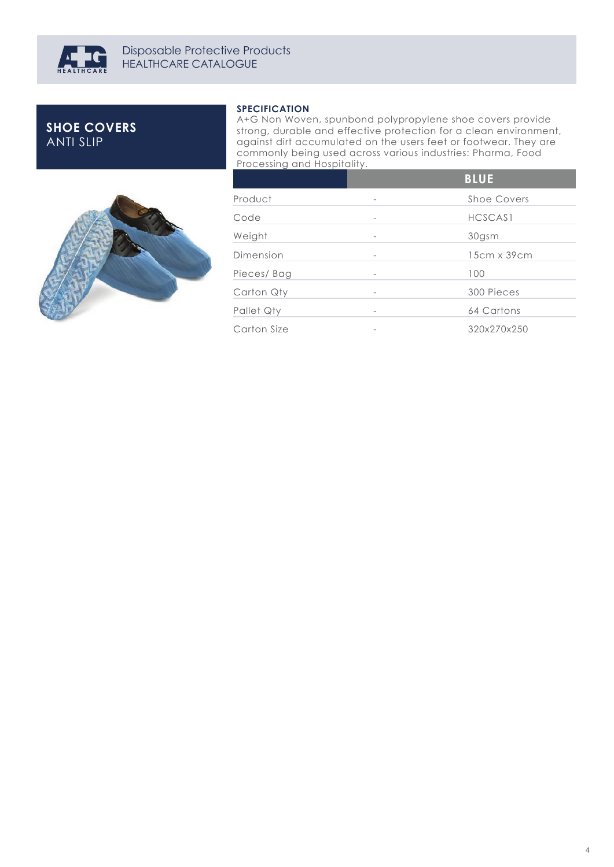

# **SHOE COVERS** ANTI SLIP



#### **SPECIFICATION**

A+G Non Woven, spunbond polypropylene shoe covers provide strong, durable and effective protection for a clean environment, against dirt accumulated on the users feet or footwear. They are commonly being used across various industries: Pharma, Food Processing and Hospitality.

|             | <b>BLUE</b> |
|-------------|-------------|
| Product     | Shoe Covers |
| Code        | HCSCAS1     |
| Weight      | 30gsm       |
| Dimension   | 15cm x 39cm |
| Pieces/Bag  | 100         |
| Carton Qty  | 300 Pieces  |
| Pallet Qty  | 64 Cartons  |
| Carton Size | 320x270x250 |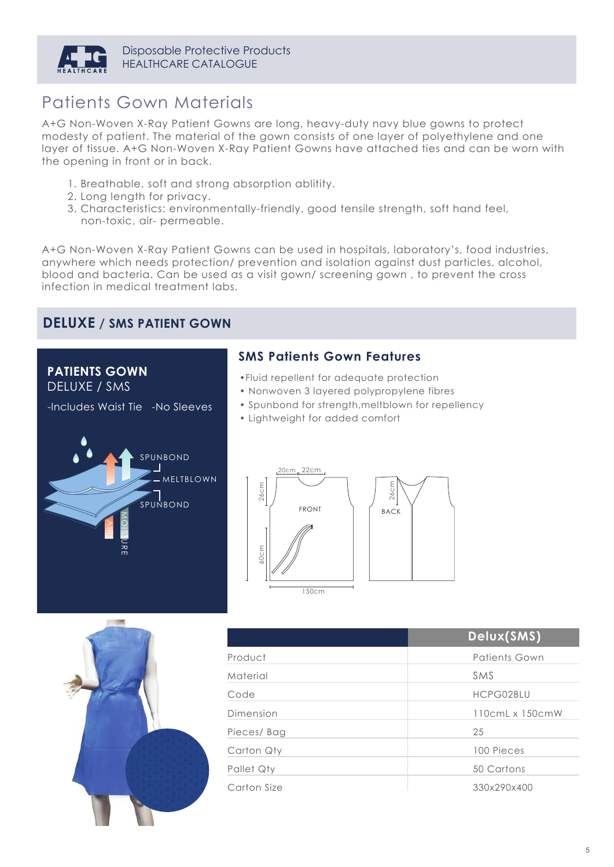

# Patients Gown Materials

A+G Non-Woven X-Ray Patient Gowns are long, heavy-duty navy blue gowns to protect modesty of patient. The material of the gown consists of one layer of polyethylene and one layer of tissue. A+G Non-Woven X-Ray Patient Gowns have attached ties and can be worn with the opening in front or in back.

- 1. Breathable, soft and strong absorption ablitity.
- 2. Long length for privacy.
- 3. Characteristics: environmentally-friendly, good tensile strength, soft hand feel, non-toxic, air- permeable.

A+G Non-Woven X-Ray Patient Gowns can be used in hospitals, laboratory's, food industries, anywhere which needs protection/ prevention and isolation against dust particles, alcohol, blood and bacteria. Can be used as a visit gown/ screening gown , to prevent the cross infection in medical treatment labs.

# **DELUXE / SMS PATIENT GOWN**

#### **PATIENTS GOWN** DELUXE / SMS

-Includes Waist Tie -No Sleeves

## **SMS Patients Gown Features**

- •Fluid repellent for adequate protection
- Nonwoven 3 layered polypropylene fibres
- Spunbond for strength,meltblown for repellency
- Lightweight for added comfort







|             | Delux(SMS)      |
|-------------|-----------------|
| Product     | Patients Gown   |
| Material    | SMS             |
| Code        | HCPG02BLU       |
| Dimension   | 110cmL x 150cmW |
| Pieces/Bag  | 25              |
| Carton Qty  | 100 Pieces      |
| Pallet Qty  | 50 Cartons      |
| Carton Size | 330x290x400     |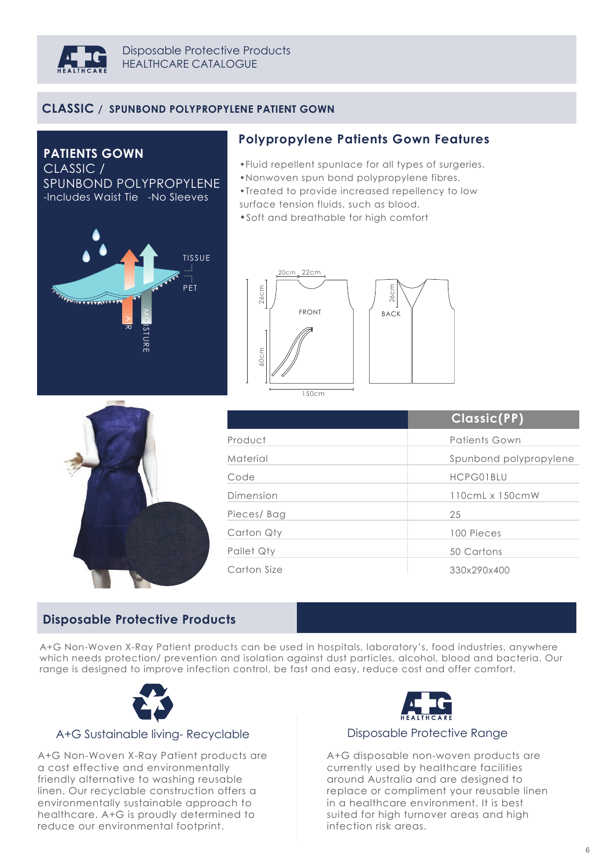

## **CLASSIC / SPUNBOND POLYPROPYLENE PATIENT GOWN**

**PATIENTS GOWN** CLASSIC / SPUNBOND POLYPROPYLENE -Includes Waist Tie -No Sleeves



### **Polypropylene Patients Gown Features**

•Fluid repellent spunlace for all types of surgeries.

•Nonwoven spun bond polypropylene fibres.

•Treated to provide increased repellency to low surface tension fluids, such as blood.

•Soft and breathable for high comfort





|             | Classic(PP)                    |
|-------------|--------------------------------|
| Product     | Patients Gown                  |
| Material    | Spunbond polypropylene         |
| Code        | HCPG01BLU                      |
| Dimension   | $110$ cm $L \times 150$ cm $W$ |
| Pieces/Bag  | 25                             |
| Carton Qty  | 100 Pieces                     |
| Pallet Qty  | 50 Cartons                     |
| Carton Size | 330x290x400                    |

## **Disposable Protective Products**

A+G Non-Woven X-Ray Patient products can be used in hospitals, laboratory's, food industries, anywhere which needs protection/ prevention and isolation against dust particles, alcohol, blood and bacteria. Our range is designed to improve infection control, be fast and easy, reduce cost and offer comfort.



#### A+G Sustainable living- Recyclable

A+G Non-Woven X-Ray Patient products are a cost effective and environmentally friendly alternative to washing reusable linen. Our recyclable construction offers a environmentally sustainable approach to healthcare. A+G is proudly determined to reduce our environmental footprint.



#### Disposable Protective Range

A+G disposable non-woven products are currently used by healthcare facilities around Australia and are designed to replace or compliment your reusable linen in a healthcare environment. It is best suited for high turnover areas and high infection risk areas.